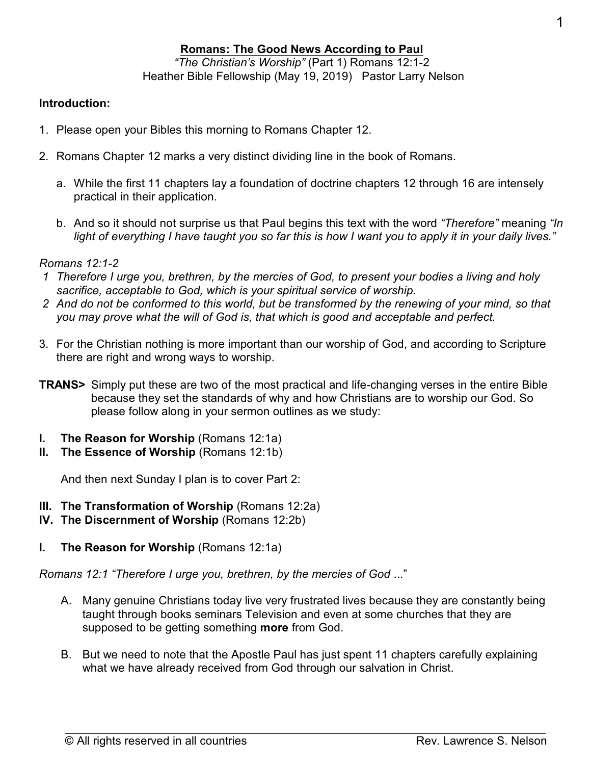$\overline{a}$ 

# **Romans: The Good News According to Paul**

*"The Christian's Worship"* (Part 1) Romans 12:1-2 Heather Bible Fellowship (May 19, 2019) Pastor Larry Nelson

## **Introduction:**

- 1. Please open your Bibles this morning to Romans Chapter 12.
- 2. Romans Chapter 12 marks a very distinct dividing line in the book of Romans.
	- a. While the first 11 chapters lay a foundation of doctrine chapters 12 through 16 are intensely practical in their application.
	- b. And so it should not surprise us that Paul begins this text with the word *"Therefore"* meaning *"In light of everything I have taught you so far this is how I want you to apply it in your daily lives."*

### *Romans 12:1-2*

- *1 Therefore I urge you, brethren, by the mercies of God, to present your bodies a living and holy sacrifice, acceptable to God, which is your spiritual service of worship.*
- *2 And do not be conformed to this world, but be transformed by the renewing of your mind, so that you may prove what the will of God is, that which is good and acceptable and perfect.*
- 3. For the Christian nothing is more important than our worship of God, and according to Scripture there are right and wrong ways to worship.
- **TRANS>** Simply put these are two of the most practical and life-changing verses in the entire Bible because they set the standards of why and how Christians are to worship our God. So please follow along in your sermon outlines as we study:
- **I.** The Reason for Worship (Romans 12:1a)
- **II.** The Essence of Worship (Romans 12:1b)

And then next Sunday I plan is to cover Part 2:

- **III. The Transformation of Worship** (Romans 12:2a)
- **IV. The Discernment of Worship** (Romans 12:2b)
- **I.** The Reason for Worship (Romans 12:1a)

*Romans 12:1 "Therefore I urge you, brethren, by the mercies of God* ..."

- A. Many genuine Christians today live very frustrated lives because they are constantly being taught through books seminars Television and even at some churches that they are supposed to be getting something **more** from God.
- B. But we need to note that the Apostle Paul has just spent 11 chapters carefully explaining what we have already received from God through our salvation in Christ.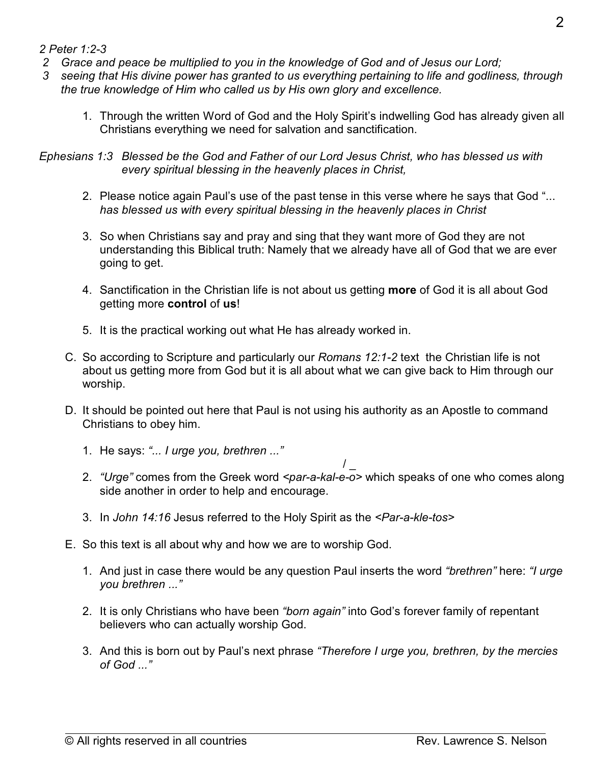### *2 Peter 1:2-3*

- *2 Grace and peace be multiplied to you in the knowledge of God and of Jesus our Lord;*
- *3 seeing that His divine power has granted to us everything pertaining to life and godliness, through the true knowledge of Him who called us by His own glory and excellence.*
	- 1. Through the written Word of God and the Holy Spirit's indwelling God has already given all Christians everything we need for salvation and sanctification.

*Ephesians 1:3 Blessed be the God and Father of our Lord Jesus Christ, who has blessed us with every spiritual blessing in the heavenly places in Christ,*

- 2. Please notice again Paul's use of the past tense in this verse where he says that God "... *has blessed us with every spiritual blessing in the heavenly places in Christ*
- 3. So when Christians say and pray and sing that they want more of God they are not understanding this Biblical truth: Namely that we already have all of God that we are ever going to get.
- 4. Sanctification in the Christian life is not about us getting **more** of God it is all about God getting more **control** of **us**!
- 5. It is the practical working out what He has already worked in.
- C. So according to Scripture and particularly our *Romans 12:1-2* text the Christian life is not about us getting more from God but it is all about what we can give back to Him through our worship.
- D. It should be pointed out here that Paul is not using his authority as an Apostle to command Christians to obey him.
	- 1. He says: *"... I urge you, brethren ..."*
	- / \_ 2. *"Urge"* comes from the Greek word *<par-a-kal-e-o>* which speaks of one who comes along side another in order to help and encourage.
	- 3. In *John 14:16* Jesus referred to the Holy Spirit as the *<Par-a-kle-tos>*
- E. So this text is all about why and how we are to worship God.
	- 1. And just in case there would be any question Paul inserts the word *"brethren"* here: *"I urge you brethren ..."*
	- 2. It is only Christians who have been *"born again"* into God's forever family of repentant believers who can actually worship God.
	- 3. And this is born out by Paul's next phrase *"Therefore I urge you, brethren, by the mercies of God ..."*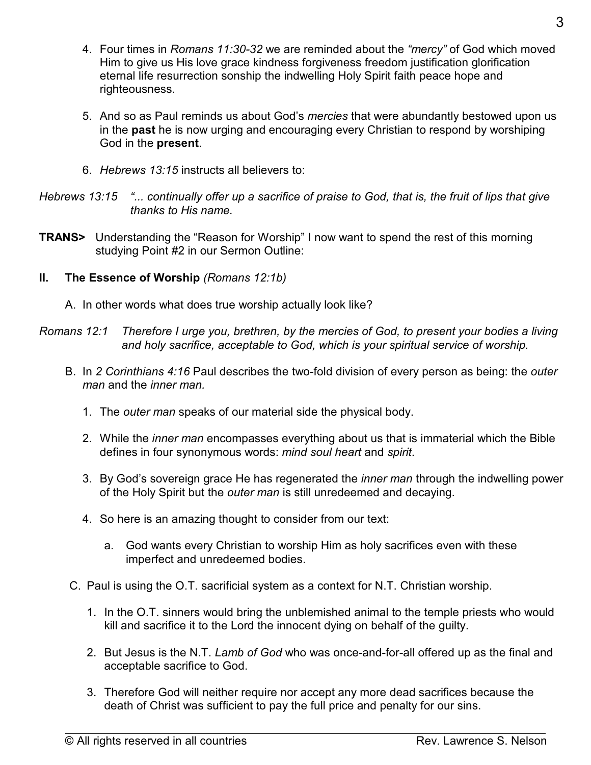- 4. Four times in *Romans 11:30-32* we are reminded about the *"mercy"* of God which moved Him to give us His love grace kindness forgiveness freedom justification glorification eternal life resurrection sonship the indwelling Holy Spirit faith peace hope and righteousness.
- 5. And so as Paul reminds us about God's *mercies* that were abundantly bestowed upon us in the **past** he is now urging and encouraging every Christian to respond by worshiping God in the **present**.
- 6. *Hebrews 13:15* instructs all believers to:

- **TRANS>** Understanding the "Reason for Worship" I now want to spend the rest of this morning studying Point #2 in our Sermon Outline:
- **II. The Essence of Worship** *(Romans 12:1b)*
	- A. In other words what does true worship actually look like?
- *Romans 12:1 Therefore I urge you, brethren, by the mercies of God, to present your bodies a living and holy sacrifice, acceptable to God, which is your spiritual service of worship.*
	- B. In *2 Corinthians 4:16* Paul describes the two-fold division of every person as being: the *outer man* and the *inner man.*
		- 1. The *outer man* speaks of our material side the physical body.
		- 2. While the *inner man* encompasses everything about us that is immaterial which the Bible defines in four synonymous words: *mind soul heart* and *spirit*.
		- 3. By God's sovereign grace He has regenerated the *inner man* through the indwelling power of the Holy Spirit but the *outer man* is still unredeemed and decaying.
		- 4. So here is an amazing thought to consider from our text:
			- a. God wants every Christian to worship Him as holy sacrifices even with these imperfect and unredeemed bodies.
	- C. Paul is using the O.T. sacrificial system as a context for N.T. Christian worship.
		- 1. In the O.T. sinners would bring the unblemished animal to the temple priests who would kill and sacrifice it to the Lord the innocent dying on behalf of the guilty.
		- 2. But Jesus is the N.T. *Lamb of God* who was once-and-for-all offered up as the final and acceptable sacrifice to God.
		- 3. Therefore God will neither require nor accept any more dead sacrifices because the death of Christ was sufficient to pay the full price and penalty for our sins.

*Hebrews 13:15 "... continually offer up a sacrifice of praise to God, that is, the fruit of lips that give thanks to His name.*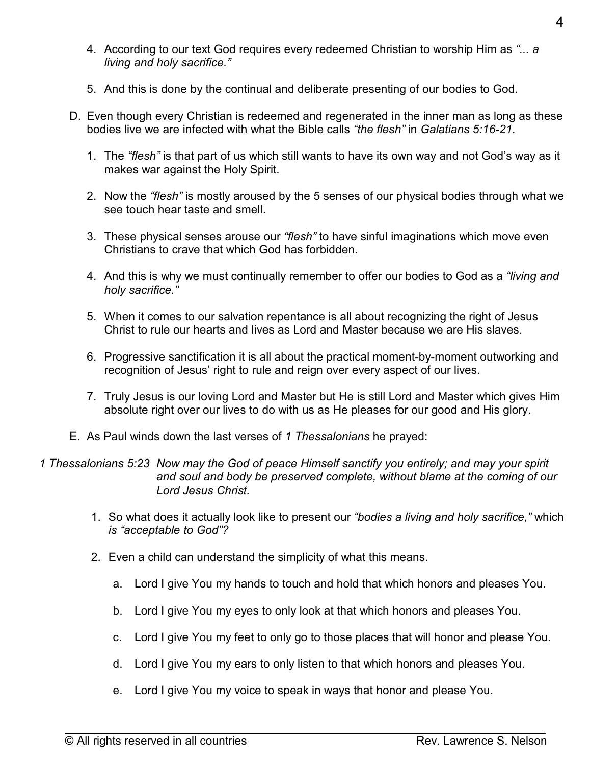- 4. According to our text God requires every redeemed Christian to worship Him as *"... a living and holy sacrifice."*
- 5. And this is done by the continual and deliberate presenting of our bodies to God.
- D. Even though every Christian is redeemed and regenerated in the inner man as long as these bodies live we are infected with what the Bible calls *"the flesh"* in *Galatians 5:16-21*.
	- 1. The *"flesh"* is that part of us which still wants to have its own way and not God's way as it makes war against the Holy Spirit.
	- 2. Now the *"flesh"* is mostly aroused by the 5 senses of our physical bodies through what we see touch hear taste and smell.
	- 3. These physical senses arouse our *"flesh"* to have sinful imaginations which move even Christians to crave that which God has forbidden.
	- 4. And this is why we must continually remember to offer our bodies to God as a *"living and holy sacrifice."*
	- 5. When it comes to our salvation repentance is all about recognizing the right of Jesus Christ to rule our hearts and lives as Lord and Master because we are His slaves.
	- 6. Progressive sanctification it is all about the practical moment-by-moment outworking and recognition of Jesus' right to rule and reign over every aspect of our lives.
	- 7. Truly Jesus is our loving Lord and Master but He is still Lord and Master which gives Him absolute right over our lives to do with us as He pleases for our good and His glory.
- E. As Paul winds down the last verses of *1 Thessalonians* he prayed:

*1 Thessalonians 5:23 Now may the God of peace Himself sanctify you entirely; and may your spirit and soul and body be preserved complete, without blame at the coming of our Lord Jesus Christ.*

- 1. So what does it actually look like to present our *"bodies a living and holy sacrifice,"* which *is "acceptable to God"?*
- 2. Even a child can understand the simplicity of what this means.
	- a. Lord I give You my hands to touch and hold that which honors and pleases You.
	- b. Lord I give You my eyes to only look at that which honors and pleases You.
	- c. Lord I give You my feet to only go to those places that will honor and please You.
	- d. Lord I give You my ears to only listen to that which honors and pleases You.
	- e. Lord I give You my voice to speak in ways that honor and please You.

 $\overline{a}$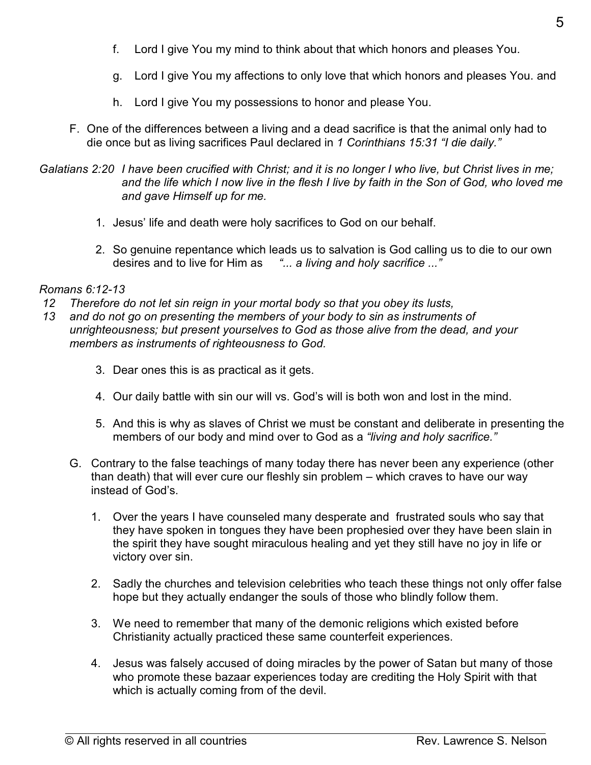- f. Lord I give You my mind to think about that which honors and pleases You.
- g. Lord I give You my affections to only love that which honors and pleases You. and
- h. Lord I give You my possessions to honor and please You.
- F. One of the differences between a living and a dead sacrifice is that the animal only had to die once but as living sacrifices Paul declared in *1 Corinthians 15:31 "I die daily."*
- *Galatians 2:20 I have been crucified with Christ; and it is no longer I who live, but Christ lives in me; and the life which I now live in the flesh I live by faith in the Son of God, who loved me and gave Himself up for me.*
	- 1. Jesus' life and death were holy sacrifices to God on our behalf.
	- 2. So genuine repentance which leads us to salvation is God calling us to die to our own desires and to live for Him as *"... a living and holy sacrifice ..."*

### *Romans 6:12-13*

- *12 Therefore do not let sin reign in your mortal body so that you obey its lusts,*
- *13 and do not go on presenting the members of your body to sin as instruments of unrighteousness; but present yourselves to God as those alive from the dead, and your members as instruments of righteousness to God.*
	- 3. Dear ones this is as practical as it gets.
	- 4. Our daily battle with sin our will vs. God's will is both won and lost in the mind.
	- 5. And this is why as slaves of Christ we must be constant and deliberate in presenting the members of our body and mind over to God as a *"living and holy sacrifice."*
	- G. Contrary to the false teachings of many today there has never been any experience (other than death) that will ever cure our fleshly sin problem – which craves to have our way instead of God's.
		- 1. Over the years I have counseled many desperate and frustrated souls who say that they have spoken in tongues they have been prophesied over they have been slain in the spirit they have sought miraculous healing and yet they still have no joy in life or victory over sin.
		- 2. Sadly the churches and television celebrities who teach these things not only offer false hope but they actually endanger the souls of those who blindly follow them.
		- 3. We need to remember that many of the demonic religions which existed before Christianity actually practiced these same counterfeit experiences.
		- 4. Jesus was falsely accused of doing miracles by the power of Satan but many of those who promote these bazaar experiences today are crediting the Holy Spirit with that which is actually coming from of the devil.

 $\overline{a}$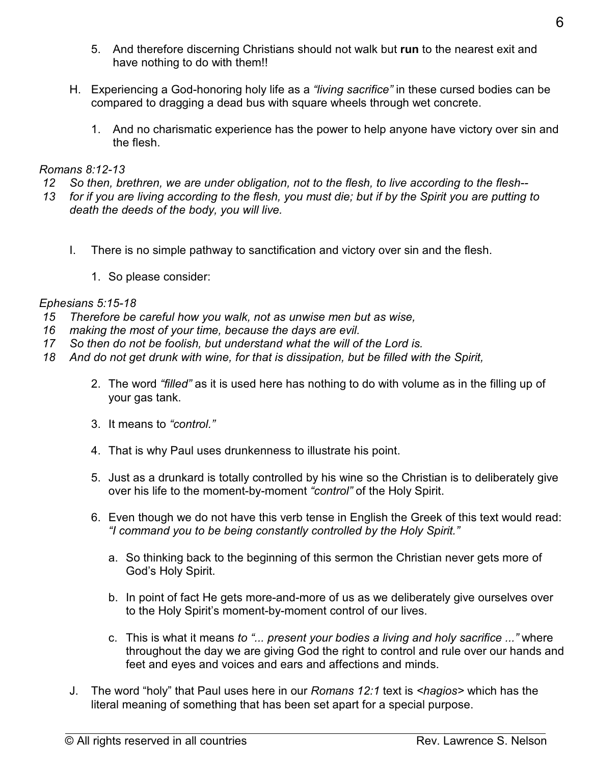- 5. And therefore discerning Christians should not walk but **run** to the nearest exit and have nothing to do with them!!
- H. Experiencing a God-honoring holy life as a *"living sacrifice"* in these cursed bodies can be compared to dragging a dead bus with square wheels through wet concrete.
	- 1. And no charismatic experience has the power to help anyone have victory over sin and the flesh.

# *Romans 8:12-13*

- *12 So then, brethren, we are under obligation, not to the flesh, to live according to the flesh--*
- *13 for if you are living according to the flesh, you must die; but if by the Spirit you are putting to death the deeds of the body, you will live.*
	- I. There is no simple pathway to sanctification and victory over sin and the flesh.
		- 1. So please consider:

# *Ephesians 5:15-18*

- *15 Therefore be careful how you walk, not as unwise men but as wise,*
- *16 making the most of your time, because the days are evil.*
- *17 So then do not be foolish, but understand what the will of the Lord is.*
- *18 And do not get drunk with wine, for that is dissipation, but be filled with the Spirit,*
	- 2. The word *"filled"* as it is used here has nothing to do with volume as in the filling up of your gas tank.
	- 3. It means to *"control."*
	- 4. That is why Paul uses drunkenness to illustrate his point.
	- 5. Just as a drunkard is totally controlled by his wine so the Christian is to deliberately give over his life to the moment-by-moment *"control"* of the Holy Spirit.
	- 6. Even though we do not have this verb tense in English the Greek of this text would read: *"I command you to be being constantly controlled by the Holy Spirit."*
		- a. So thinking back to the beginning of this sermon the Christian never gets more of God's Holy Spirit.
		- b. In point of fact He gets more-and-more of us as we deliberately give ourselves over to the Holy Spirit's moment-by-moment control of our lives.
		- c. This is what it means *to "... present your bodies a living and holy sacrifice ..."* where throughout the day we are giving God the right to control and rule over our hands and feet and eyes and voices and ears and affections and minds.
	- J. The word "holy" that Paul uses here in our *Romans 12:1* text is *<hagios>* which has the literal meaning of something that has been set apart for a special purpose.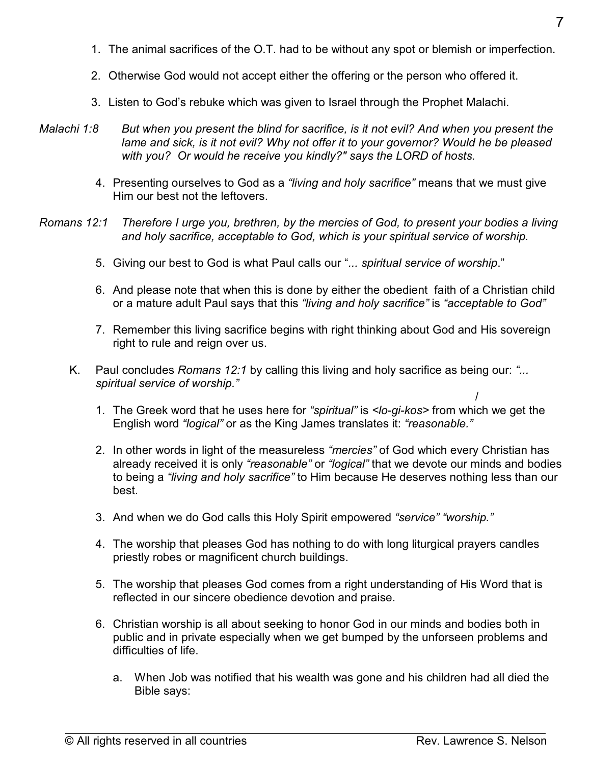- 1. The animal sacrifices of the O.T. had to be without any spot or blemish or imperfection.
- 2. Otherwise God would not accept either the offering or the person who offered it.
- 3. Listen to God's rebuke which was given to Israel through the Prophet Malachi.
- *Malachi 1:8 But when you present the blind for sacrifice, is it not evil? And when you present the lame and sick, is it not evil? Why not offer it to your governor? Would he be pleased with you? Or would he receive you kindly?" says the LORD of hosts.*
	- 4. Presenting ourselves to God as a *"living and holy sacrifice"* means that we must give Him our best not the leftovers.
- *Romans 12:1 Therefore I urge you, brethren, by the mercies of God, to present your bodies a living and holy sacrifice, acceptable to God, which is your spiritual service of worship.*
	- 5. Giving our best to God is what Paul calls our "*... spiritual service of worship*."
	- 6. And please note that when this is done by either the obedient faith of a Christian child or a mature adult Paul says that this *"living and holy sacrifice"* is *"acceptable to God"*
	- 7. Remember this living sacrifice begins with right thinking about God and His sovereign right to rule and reign over us.
	- K. Paul concludes *Romans 12:1* by calling this living and holy sacrifice as being our: *"... spiritual service of worship."*
		- 1. The Greek word that he uses here for *"spiritual"* is *<lo-gi-kos>* from which we get the English word *"logical"* or as the King James translates it: *"reasonable."*
		- 2. In other words in light of the measureless *"mercies"* of God which every Christian has already received it is only *"reasonable"* or *"logical"* that we devote our minds and bodies to being a *"living and holy sacrifice"* to Him because He deserves nothing less than our best.
		- 3. And when we do God calls this Holy Spirit empowered *"service" "worship."*
		- 4. The worship that pleases God has nothing to do with long liturgical prayers candles priestly robes or magnificent church buildings.
		- 5. The worship that pleases God comes from a right understanding of His Word that is reflected in our sincere obedience devotion and praise.
		- 6. Christian worship is all about seeking to honor God in our minds and bodies both in public and in private especially when we get bumped by the unforseen problems and difficulties of life.
			- a. When Job was notified that his wealth was gone and his children had all died the Bible says:

 $\overline{a}$ 

/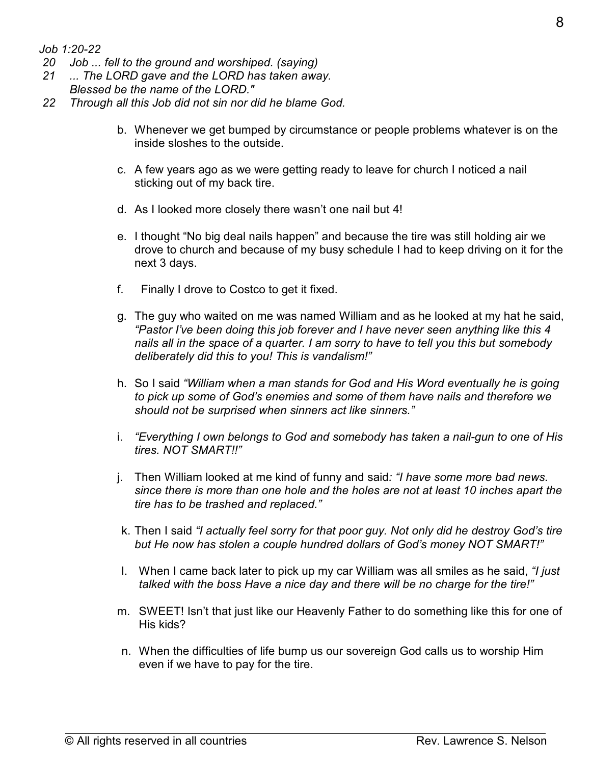*Job 1:20-22*

- *20 Job ... fell to the ground and worshiped. (saying)*
- *21 ... The LORD gave and the LORD has taken away.*
- *Blessed be the name of the LORD."*
- *22 Through all this Job did not sin nor did he blame God.*
	- b. Whenever we get bumped by circumstance or people problems whatever is on the inside sloshes to the outside.
	- c. A few years ago as we were getting ready to leave for church I noticed a nail sticking out of my back tire.
	- d. As I looked more closely there wasn't one nail but 4!
	- e. I thought "No big deal nails happen" and because the tire was still holding air we drove to church and because of my busy schedule I had to keep driving on it for the next 3 days.
	- f. Finally I drove to Costco to get it fixed.
	- g. The guy who waited on me was named William and as he looked at my hat he said, *"Pastor I've been doing this job forever and I have never seen anything like this 4 nails all in the space of a quarter. I am sorry to have to tell you this but somebody deliberately did this to you! This is vandalism!"*
	- h. So I said *"William when a man stands for God and His Word eventually he is going to pick up some of God's enemies and some of them have nails and therefore we should not be surprised when sinners act like sinners."*
	- i. *"Everything I own belongs to God and somebody has taken a nail-gun to one of His tires. NOT SMART!!"*
	- j. Then William looked at me kind of funny and said*: "I have some more bad news. since there is more than one hole and the holes are not at least 10 inches apart the tire has to be trashed and replaced."*
	- k. Then I said *"I actually feel sorry for that poor guy. Not only did he destroy God's tire but He now has stolen a couple hundred dollars of God's money NOT SMART!"*
	- l. When I came back later to pick up my car William was all smiles as he said, *"I just talked with the boss Have a nice day and there will be no charge for the tire!"*
	- m. SWEET! Isn't that just like our Heavenly Father to do something like this for one of His kids?
	- n. When the difficulties of life bump us our sovereign God calls us to worship Him even if we have to pay for the tire.